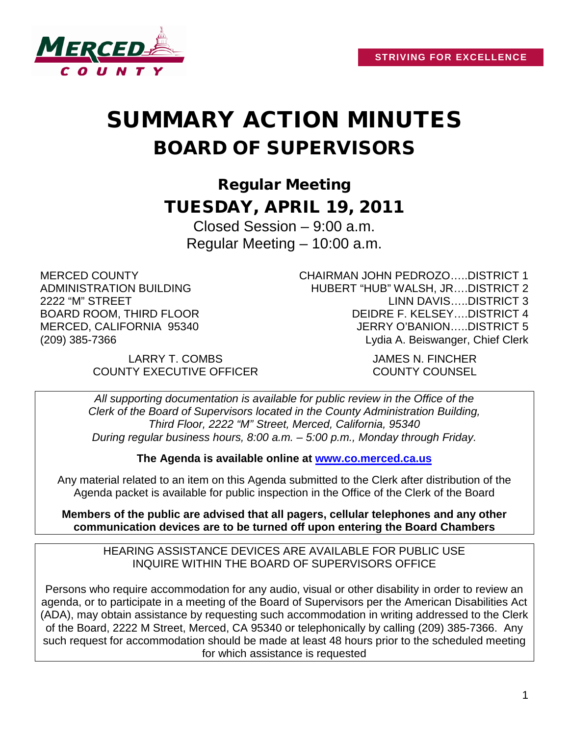

# SUMMARY ACTION MINUTES BOARD OF SUPERVISORS

Regular Meeting TUESDAY, APRIL 19, 2011

Closed Session – 9:00 a.m. Regular Meeting – 10:00 a.m.

MERCED COUNTY ADMINISTRATION BUILDING 2222 "M" STREET BOARD ROOM, THIRD FLOOR MERCED, CALIFORNIA 95340 (209) 385-7366

CHAIRMAN JOHN PEDROZO…..DISTRICT 1 HUBERT "HUB" WALSH, JR….DISTRICT 2 LINN DAVIS…..DISTRICT 3 DEIDRE F. KELSEY….DISTRICT 4 JERRY O'BANION…..DISTRICT 5 Lydia A. Beiswanger, Chief Clerk

LARRY T. COMBS JAMES N. FINCHER COUNTY EXECUTIVE OFFICER COUNTY COUNSEL

*All supporting documentation is available for public review in the Office of the Clerk of the Board of Supervisors located in the County Administration Building, Third Floor, 2222 "M" Street, Merced, California, 95340 During regular business hours, 8:00 a.m. – 5:00 p.m., Monday through Friday.*

**The Agenda is available online at [www.co.merced.ca.us](http://www.co.merced.ca.us/)**

Any material related to an item on this Agenda submitted to the Clerk after distribution of the Agenda packet is available for public inspection in the Office of the Clerk of the Board

**Members of the public are advised that all pagers, cellular telephones and any other communication devices are to be turned off upon entering the Board Chambers**

HEARING ASSISTANCE DEVICES ARE AVAILABLE FOR PUBLIC USE INQUIRE WITHIN THE BOARD OF SUPERVISORS OFFICE

Persons who require accommodation for any audio, visual or other disability in order to review an agenda, or to participate in a meeting of the Board of Supervisors per the American Disabilities Act (ADA), may obtain assistance by requesting such accommodation in writing addressed to the Clerk of the Board, 2222 M Street, Merced, CA 95340 or telephonically by calling (209) 385-7366. Any such request for accommodation should be made at least 48 hours prior to the scheduled meeting for which assistance is requested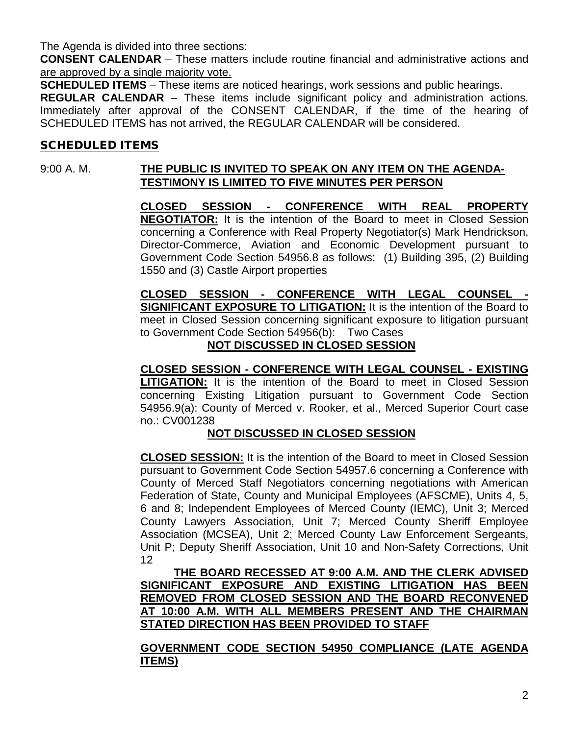The Agenda is divided into three sections:

**CONSENT CALENDAR** – These matters include routine financial and administrative actions and are approved by a single majority vote.

**SCHEDULED ITEMS** – These items are noticed hearings, work sessions and public hearings.

**REGULAR CALENDAR** – These items include significant policy and administration actions. Immediately after approval of the CONSENT CALENDAR, if the time of the hearing of SCHEDULED ITEMS has not arrived, the REGULAR CALENDAR will be considered.

#### SCHEDULED ITEMS

## 9:00 A. M. **THE PUBLIC IS INVITED TO SPEAK ON ANY ITEM ON THE AGENDA-TESTIMONY IS LIMITED TO FIVE MINUTES PER PERSON**

**CLOSED SESSION - CONFERENCE WITH REAL PROPERTY NEGOTIATOR:** It is the intention of the Board to meet in Closed Session concerning a Conference with Real Property Negotiator(s) Mark Hendrickson, Director-Commerce, Aviation and Economic Development pursuant to Government Code Section 54956.8 as follows: (1) Building 395, (2) Building 1550 and (3) Castle Airport properties

**CLOSED SESSION - CONFERENCE WITH LEGAL COUNSEL - SIGNIFICANT EXPOSURE TO LITIGATION:** It is the intention of the Board to meet in Closed Session concerning significant exposure to litigation pursuant to Government Code Section 54956(b): Two Cases

#### **NOT DISCUSSED IN CLOSED SESSION**

**CLOSED SESSION - CONFERENCE WITH LEGAL COUNSEL - EXISTING LITIGATION:** It is the intention of the Board to meet in Closed Session concerning Existing Litigation pursuant to Government Code Section 54956.9(a): County of Merced v. Rooker, et al., Merced Superior Court case no.: CV001238

## **NOT DISCUSSED IN CLOSED SESSION**

**CLOSED SESSION:** It is the intention of the Board to meet in Closed Session pursuant to Government Code Section 54957.6 concerning a Conference with County of Merced Staff Negotiators concerning negotiations with American Federation of State, County and Municipal Employees (AFSCME), Units 4, 5, 6 and 8; Independent Employees of Merced County (IEMC), Unit 3; Merced County Lawyers Association, Unit 7; Merced County Sheriff Employee Association (MCSEA), Unit 2; Merced County Law Enforcement Sergeants, Unit P; Deputy Sheriff Association, Unit 10 and Non-Safety Corrections, Unit 12

**THE BOARD RECESSED AT 9:00 A.M. AND THE CLERK ADVISED SIGNIFICANT EXPOSURE AND EXISTING LITIGATION HAS BEEN REMOVED FROM CLOSED SESSION AND THE BOARD RECONVENED AT 10:00 A.M. WITH ALL MEMBERS PRESENT AND THE CHAIRMAN STATED DIRECTION HAS BEEN PROVIDED TO STAFF**

#### **GOVERNMENT CODE SECTION 54950 COMPLIANCE (LATE AGENDA ITEMS**)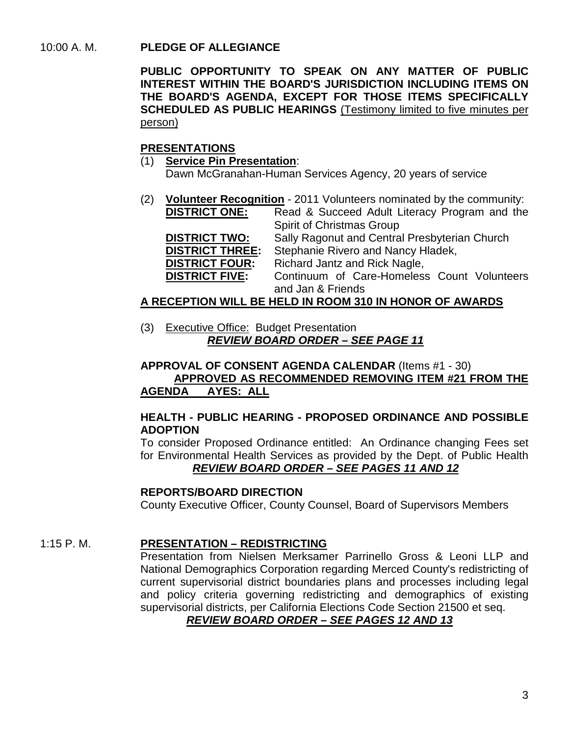#### 10:00 A. M. **PLEDGE OF ALLEGIANCE**

**PUBLIC OPPORTUNITY TO SPEAK ON ANY MATTER OF PUBLIC INTEREST WITHIN THE BOARD'S JURISDICTION INCLUDING ITEMS ON THE BOARD'S AGENDA, EXCEPT FOR THOSE ITEMS SPECIFICALLY SCHEDULED AS PUBLIC HEARINGS** (Testimony limited to five minutes per person)

#### **PRESENTATIONS**

- (1) **Service Pin Presentation**: Dawn McGranahan-Human Services Agency, 20 years of service
- (2) **Volunteer Recognition** 2011 Volunteers nominated by the community:<br>**DISTRICT ONE:** Read & Succeed Adult Literacy Program and the Read & Succeed Adult Literacy Program and the Spirit of Christmas Group **DISTRICT TWO:** Sally Ragonut and Central Presbyterian Church<br>**DISTRICT THREE:** Stephanie Rivero and Nancy Hladek, **Stephanie Rivero and Nancy Hladek, DISTRICT FOUR:** Richard Jantz and Rick Nagle,<br>**DISTRICT FIVE:** Continuum of Care-Homeles Continuum of Care-Homeless Count Volunteers and Jan & Friends

#### **A RECEPTION WILL BE HELD IN ROOM 310 IN HONOR OF AWARDS**

(3) Executive Office: Budget Presentation *REVIEW BOARD ORDER – SEE PAGE 11*

**APPROVAL OF CONSENT AGENDA CALENDAR** (Items #1 - 30) **APPROVED AS RECOMMENDED REMOVING ITEM #21 FROM THE AGENDA AYES: ALL**

#### **HEALTH - PUBLIC HEARING - PROPOSED ORDINANCE AND POSSIBLE ADOPTION**

To consider Proposed Ordinance entitled: An Ordinance changing Fees set for Environmental Health Services as provided by the Dept. of Public Health *REVIEW BOARD ORDER – SEE PAGES 11 AND 12*

#### **REPORTS/BOARD DIRECTION**

County Executive Officer, County Counsel, Board of Supervisors Members

#### 1:15 P. M. **PRESENTATION – REDISTRICTING**

Presentation from Nielsen Merksamer Parrinello Gross & Leoni LLP and National Demographics Corporation regarding Merced County's redistricting of current supervisorial district boundaries plans and processes including legal and policy criteria governing redistricting and demographics of existing supervisorial districts, per California Elections Code Section 21500 et seq.

#### *REVIEW BOARD ORDER – SEE PAGES 12 AND 13*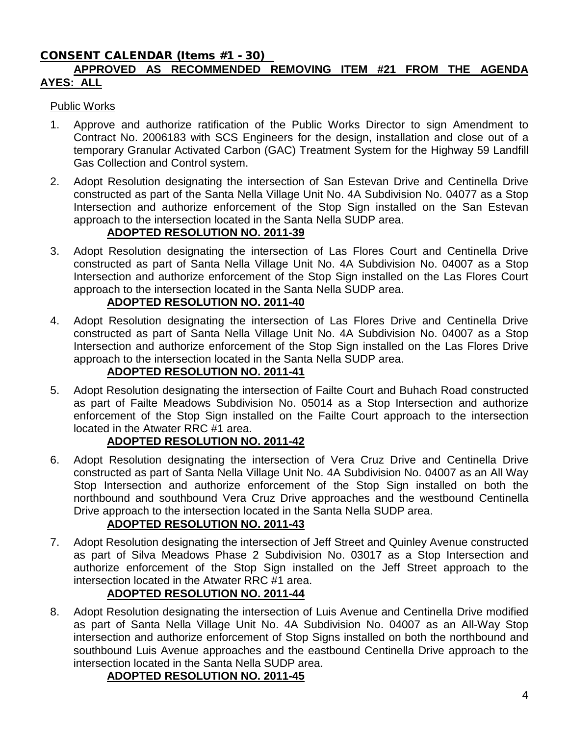# CONSENT CALENDAR (Items #1 - 30)

# **APPROVED AS RECOMMENDED REMOVING ITEM #21 FROM THE AGENDA AYES: ALL**

#### Public Works

- 1. Approve and authorize ratification of the Public Works Director to sign Amendment to Contract No. 2006183 with SCS Engineers for the design, installation and close out of a temporary Granular Activated Carbon (GAC) Treatment System for the Highway 59 Landfill Gas Collection and Control system.
- 2. Adopt Resolution designating the intersection of San Estevan Drive and Centinella Drive constructed as part of the Santa Nella Village Unit No. 4A Subdivision No. 04077 as a Stop Intersection and authorize enforcement of the Stop Sign installed on the San Estevan approach to the intersection located in the Santa Nella SUDP area.

## **ADOPTED RESOLUTION NO. 2011-39**

3. Adopt Resolution designating the intersection of Las Flores Court and Centinella Drive constructed as part of Santa Nella Village Unit No. 4A Subdivision No. 04007 as a Stop Intersection and authorize enforcement of the Stop Sign installed on the Las Flores Court approach to the intersection located in the Santa Nella SUDP area.

# **ADOPTED RESOLUTION NO. 2011-40**

4. Adopt Resolution designating the intersection of Las Flores Drive and Centinella Drive constructed as part of Santa Nella Village Unit No. 4A Subdivision No. 04007 as a Stop Intersection and authorize enforcement of the Stop Sign installed on the Las Flores Drive approach to the intersection located in the Santa Nella SUDP area.

# **ADOPTED RESOLUTION NO. 2011-41**

5. Adopt Resolution designating the intersection of Failte Court and Buhach Road constructed as part of Failte Meadows Subdivision No. 05014 as a Stop Intersection and authorize enforcement of the Stop Sign installed on the Failte Court approach to the intersection located in the Atwater RRC #1 area.

## **ADOPTED RESOLUTION NO. 2011-42**

6. Adopt Resolution designating the intersection of Vera Cruz Drive and Centinella Drive constructed as part of Santa Nella Village Unit No. 4A Subdivision No. 04007 as an All Way Stop Intersection and authorize enforcement of the Stop Sign installed on both the northbound and southbound Vera Cruz Drive approaches and the westbound Centinella Drive approach to the intersection located in the Santa Nella SUDP area.

# **ADOPTED RESOLUTION NO. 2011-43**

7. Adopt Resolution designating the intersection of Jeff Street and Quinley Avenue constructed as part of Silva Meadows Phase 2 Subdivision No. 03017 as a Stop Intersection and authorize enforcement of the Stop Sign installed on the Jeff Street approach to the intersection located in the Atwater RRC #1 area.

# **ADOPTED RESOLUTION NO. 2011-44**

8. Adopt Resolution designating the intersection of Luis Avenue and Centinella Drive modified as part of Santa Nella Village Unit No. 4A Subdivision No. 04007 as an All-Way Stop intersection and authorize enforcement of Stop Signs installed on both the northbound and southbound Luis Avenue approaches and the eastbound Centinella Drive approach to the intersection located in the Santa Nella SUDP area.

## **ADOPTED RESOLUTION NO. 2011-45**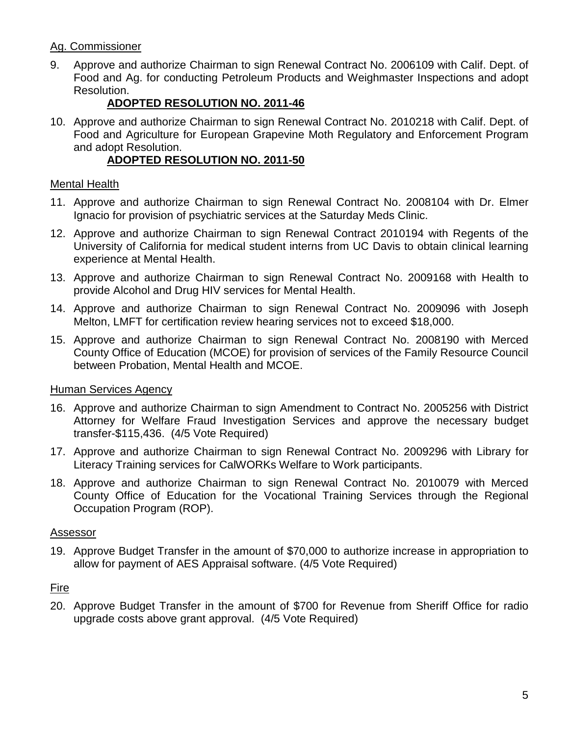# Ag. Commissioner

9. Approve and authorize Chairman to sign Renewal Contract No. 2006109 with Calif. Dept. of Food and Ag. for conducting Petroleum Products and Weighmaster Inspections and adopt Resolution.

# **ADOPTED RESOLUTION NO. 2011-46**

10. Approve and authorize Chairman to sign Renewal Contract No. 2010218 with Calif. Dept. of Food and Agriculture for European Grapevine Moth Regulatory and Enforcement Program and adopt Resolution.

# **ADOPTED RESOLUTION NO. 2011-50**

#### Mental Health

- 11. Approve and authorize Chairman to sign Renewal Contract No. 2008104 with Dr. Elmer Ignacio for provision of psychiatric services at the Saturday Meds Clinic.
- 12. Approve and authorize Chairman to sign Renewal Contract 2010194 with Regents of the University of California for medical student interns from UC Davis to obtain clinical learning experience at Mental Health.
- 13. Approve and authorize Chairman to sign Renewal Contract No. 2009168 with Health to provide Alcohol and Drug HIV services for Mental Health.
- 14. Approve and authorize Chairman to sign Renewal Contract No. 2009096 with Joseph Melton, LMFT for certification review hearing services not to exceed \$18,000.
- 15. Approve and authorize Chairman to sign Renewal Contract No. 2008190 with Merced County Office of Education (MCOE) for provision of services of the Family Resource Council between Probation, Mental Health and MCOE.

## Human Services Agency

- 16. Approve and authorize Chairman to sign Amendment to Contract No. 2005256 with District Attorney for Welfare Fraud Investigation Services and approve the necessary budget transfer-\$115,436. (4/5 Vote Required)
- 17. Approve and authorize Chairman to sign Renewal Contract No. 2009296 with Library for Literacy Training services for CalWORKs Welfare to Work participants.
- 18. Approve and authorize Chairman to sign Renewal Contract No. 2010079 with Merced County Office of Education for the Vocational Training Services through the Regional Occupation Program (ROP).

## Assessor

19. Approve Budget Transfer in the amount of \$70,000 to authorize increase in appropriation to allow for payment of AES Appraisal software. (4/5 Vote Required)

## **Fire**

20. Approve Budget Transfer in the amount of \$700 for Revenue from Sheriff Office for radio upgrade costs above grant approval. (4/5 Vote Required)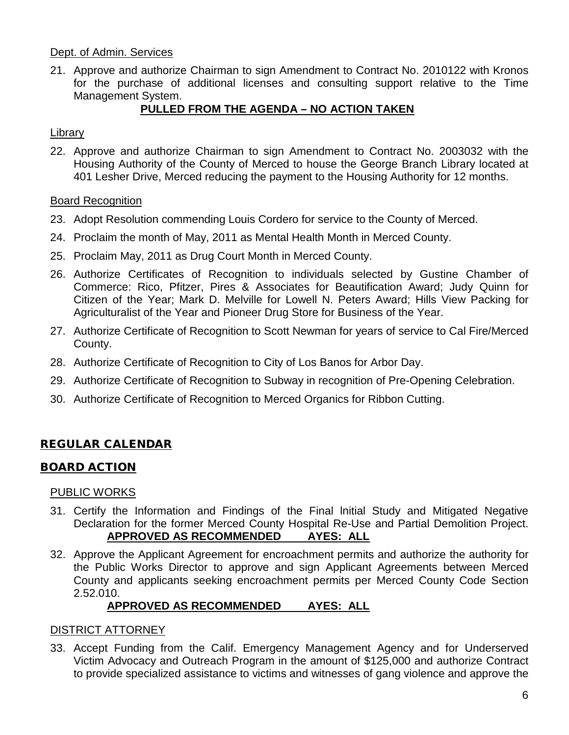#### Dept. of Admin. Services

21. Approve and authorize Chairman to sign Amendment to Contract No. 2010122 with Kronos for the purchase of additional licenses and consulting support relative to the Time Management System.

# **PULLED FROM THE AGENDA – NO ACTION TAKEN**

#### Library

22. Approve and authorize Chairman to sign Amendment to Contract No. 2003032 with the Housing Authority of the County of Merced to house the George Branch Library located at 401 Lesher Drive, Merced reducing the payment to the Housing Authority for 12 months.

#### Board Recognition

- 23. Adopt Resolution commending Louis Cordero for service to the County of Merced.
- 24. Proclaim the month of May, 2011 as Mental Health Month in Merced County.
- 25. Proclaim May, 2011 as Drug Court Month in Merced County.
- 26. Authorize Certificates of Recognition to individuals selected by Gustine Chamber of Commerce: Rico, Pfitzer, Pires & Associates for Beautification Award; Judy Quinn for Citizen of the Year; Mark D. Melville for Lowell N. Peters Award; Hills View Packing for Agriculturalist of the Year and Pioneer Drug Store for Business of the Year.
- 27. Authorize Certificate of Recognition to Scott Newman for years of service to Cal Fire/Merced County.
- 28. Authorize Certificate of Recognition to City of Los Banos for Arbor Day.
- 29. Authorize Certificate of Recognition to Subway in recognition of Pre-Opening Celebration.
- 30. Authorize Certificate of Recognition to Merced Organics for Ribbon Cutting.

# REGULAR CALENDAR

## BOARD ACTION

#### PUBLIC WORKS

- 31. Certify the Information and Findings of the Final lnitial Study and Mitigated Negative Declaration for the former Merced County Hospital Re-Use and Partial Demolition Project. **APPROVED AS RECOMMENDED AYES: ALL**
- 32. Approve the Applicant Agreement for encroachment permits and authorize the authority for the Public Works Director to approve and sign Applicant Agreements between Merced County and applicants seeking encroachment permits per Merced County Code Section 2.52.010.

## **APPROVED AS RECOMMENDED AYES: ALL**

#### DISTRICT ATTORNEY

33. Accept Funding from the Calif. Emergency Management Agency and for Underserved Victim Advocacy and Outreach Program in the amount of \$125,000 and authorize Contract to provide specialized assistance to victims and witnesses of gang violence and approve the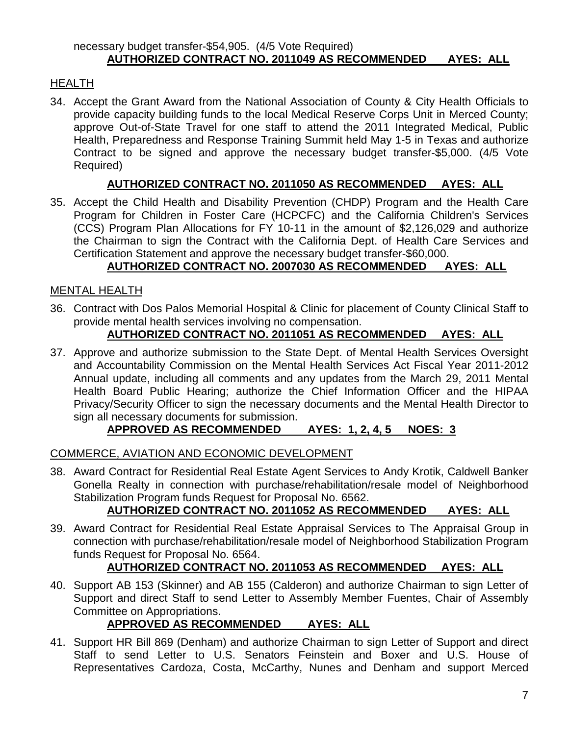# HEALTH

34. Accept the Grant Award from the National Association of County & City Health Officials to provide capacity building funds to the local Medical Reserve Corps Unit in Merced County; approve Out-of-State Travel for one staff to attend the 2011 Integrated Medical, Public Health, Preparedness and Response Training Summit held May 1-5 in Texas and authorize Contract to be signed and approve the necessary budget transfer-\$5,000. (4/5 Vote Required)

## **AUTHORIZED CONTRACT NO. 2011050 AS RECOMMENDED AYES: ALL**

35. Accept the Child Health and Disability Prevention (CHDP) Program and the Health Care Program for Children in Foster Care (HCPCFC) and the California Children's Services (CCS) Program Plan Allocations for FY 10-11 in the amount of \$2,126,029 and authorize the Chairman to sign the Contract with the California Dept. of Health Care Services and Certification Statement and approve the necessary budget transfer-\$60,000.

# **AUTHORIZED CONTRACT NO. 2007030 AS RECOMMENDED AYES: ALL**

## MENTAL HEALTH

36. Contract with Dos Palos Memorial Hospital & Clinic for placement of County Clinical Staff to provide mental health services involving no compensation.

## **AUTHORIZED CONTRACT NO. 2011051 AS RECOMMENDED AYES: ALL**

37. Approve and authorize submission to the State Dept. of Mental Health Services Oversight and Accountability Commission on the Mental Health Services Act Fiscal Year 2011-2012 Annual update, including all comments and any updates from the March 29, 2011 Mental Health Board Public Hearing; authorize the Chief Information Officer and the HIPAA Privacy/Security Officer to sign the necessary documents and the Mental Health Director to sign all necessary documents for submission.

## **APPROVED AS RECOMMENDED AYES: 1, 2, 4, 5 NOES: 3**

#### COMMERCE, AVIATION AND ECONOMIC DEVELOPMENT

38. Award Contract for Residential Real Estate Agent Services to Andy Krotik, Caldwell Banker Gonella Realty in connection with purchase/rehabilitation/resale model of Neighborhood Stabilization Program funds Request for Proposal No. 6562.

## **AUTHORIZED CONTRACT NO. 2011052 AS RECOMMENDED AYES: ALL**

39. Award Contract for Residential Real Estate Appraisal Services to The Appraisal Group in connection with purchase/rehabilitation/resale model of Neighborhood Stabilization Program funds Request for Proposal No. 6564.

## **AUTHORIZED CONTRACT NO. 2011053 AS RECOMMENDED AYES: ALL**

40. Support AB 153 (Skinner) and AB 155 (Calderon) and authorize Chairman to sign Letter of Support and direct Staff to send Letter to Assembly Member Fuentes, Chair of Assembly Committee on Appropriations.

# **APPROVED AS RECOMMENDED AYES: ALL**

41. Support HR Bill 869 (Denham) and authorize Chairman to sign Letter of Support and direct Staff to send Letter to U.S. Senators Feinstein and Boxer and U.S. House of Representatives Cardoza, Costa, McCarthy, Nunes and Denham and support Merced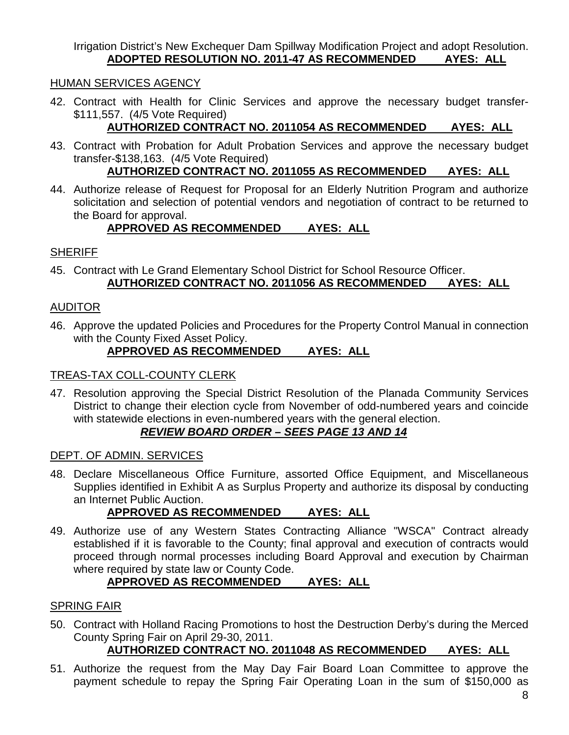Irrigation District's New Exchequer Dam Spillway Modification Project and adopt Resolution. **ADOPTED RESOLUTION NO. 2011-47 AS RECOMMENDED AYES: ALL**

#### HUMAN SERVICES AGENCY

42. Contract with Health for Clinic Services and approve the necessary budget transfer- \$111,557. (4/5 Vote Required)

# **AUTHORIZED CONTRACT NO. 2011054 AS RECOMMENDED AYES: ALL**

43. Contract with Probation for Adult Probation Services and approve the necessary budget transfer-\$138,163. (4/5 Vote Required)

# **AUTHORIZED CONTRACT NO. 2011055 AS RECOMMENDED AYES: ALL**

44. Authorize release of Request for Proposal for an Elderly Nutrition Program and authorize solicitation and selection of potential vendors and negotiation of contract to be returned to the Board for approval.

## **APPROVED AS RECOMMENDED AYES: ALL**

## **SHERIFF**

45. Contract with Le Grand Elementary School District for School Resource Officer. **AUTHORIZED CONTRACT NO. 2011056 AS RECOMMENDED AYES: ALL**

#### AUDITOR

46. Approve the updated Policies and Procedures for the Property Control Manual in connection with the County Fixed Asset Policy.

#### **APPROVED AS RECOMMENDED AYES: ALL**

#### TREAS-TAX COLL-COUNTY CLERK

47. Resolution approving the Special District Resolution of the Planada Community Services District to change their election cycle from November of odd-numbered years and coincide with statewide elections in even-numbered years with the general election.

## *REVIEW BOARD ORDER – SEES PAGE 13 AND 14*

#### DEPT. OF ADMIN. SERVICES

48. Declare Miscellaneous Office Furniture, assorted Office Equipment, and Miscellaneous Supplies identified in Exhibit A as Surplus Property and authorize its disposal by conducting an Internet Public Auction.

# **APPROVED AS RECOMMENDED AYES: ALL**

49. Authorize use of any Western States Contracting Alliance "WSCA" Contract already established if it is favorable to the County; final approval and execution of contracts would proceed through normal processes including Board Approval and execution by Chairman where required by state law or County Code.

# **APPROVED AS RECOMMENDED AYES: ALL**

## SPRING FAIR

50. Contract with Holland Racing Promotions to host the Destruction Derby's during the Merced County Spring Fair on April 29-30, 2011.

# **AUTHORIZED CONTRACT NO. 2011048 AS RECOMMENDED AYES: ALL**

51. Authorize the request from the May Day Fair Board Loan Committee to approve the payment schedule to repay the Spring Fair Operating Loan in the sum of \$150,000 as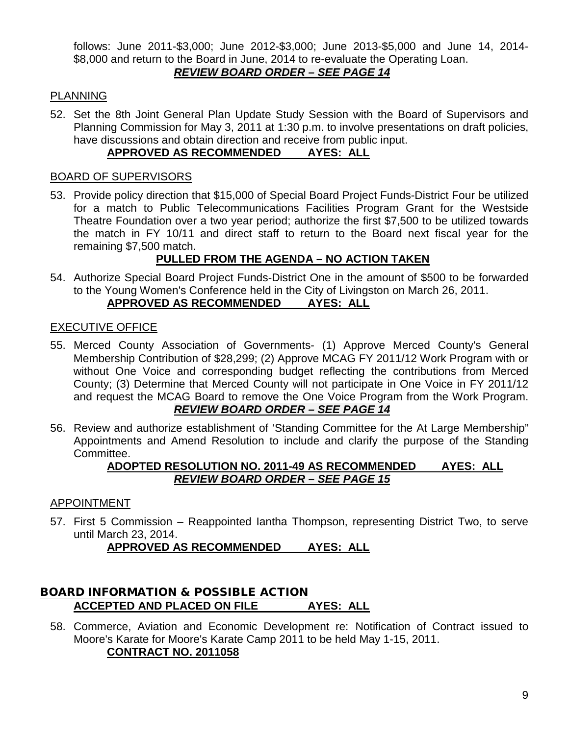follows: June 2011-\$3,000; June 2012-\$3,000; June 2013-\$5,000 and June 14, 2014- \$8,000 and return to the Board in June, 2014 to re-evaluate the Operating Loan. *REVIEW BOARD ORDER – SEE PAGE 14*

#### PLANNING

52. Set the 8th Joint General Plan Update Study Session with the Board of Supervisors and Planning Commission for May 3, 2011 at 1:30 p.m. to involve presentations on draft policies, have discussions and obtain direction and receive from public input.

## **APPROVED AS RECOMMENDED AYES: ALL**

#### BOARD OF SUPERVISORS

53. Provide policy direction that \$15,000 of Special Board Project Funds-District Four be utilized for a match to Public Telecommunications Facilities Program Grant for the Westside Theatre Foundation over a two year period; authorize the first \$7,500 to be utilized towards the match in FY 10/11 and direct staff to return to the Board next fiscal year for the remaining \$7,500 match.

# **PULLED FROM THE AGENDA – NO ACTION TAKEN**

54. Authorize Special Board Project Funds-District One in the amount of \$500 to be forwarded to the Young Women's Conference held in the City of Livingston on March 26, 2011. **APPROVED AS RECOMMENDED AYES: ALL**

#### EXECUTIVE OFFICE

- 55. Merced County Association of Governments- (1) Approve Merced County's General Membership Contribution of \$28,299; (2) Approve MCAG FY 2011/12 Work Program with or without One Voice and corresponding budget reflecting the contributions from Merced County; (3) Determine that Merced County will not participate in One Voice in FY 2011/12 and request the MCAG Board to remove the One Voice Program from the Work Program. *REVIEW BOARD ORDER – SEE PAGE 14*
- 56. Review and authorize establishment of 'Standing Committee for the At Large Membership" Appointments and Amend Resolution to include and clarify the purpose of the Standing Committee.

#### **ADOPTED RESOLUTION NO. 2011-49 AS RECOMMENDED AYES: ALL** *REVIEW BOARD ORDER – SEE PAGE 15*

#### APPOINTMENT

57. First 5 Commission – Reappointed Iantha Thompson, representing District Two, to serve until March 23, 2014.

**APPROVED AS RECOMMENDED AYES: ALL**

#### BOARD INFORMATION & POSSIBLE ACTION **ACCEPTED AND PLACED ON FILE AYES: ALL**

58. Commerce, Aviation and Economic Development re: Notification of Contract issued to Moore's Karate for Moore's Karate Camp 2011 to be held May 1-15, 2011. **CONTRACT NO. 2011058**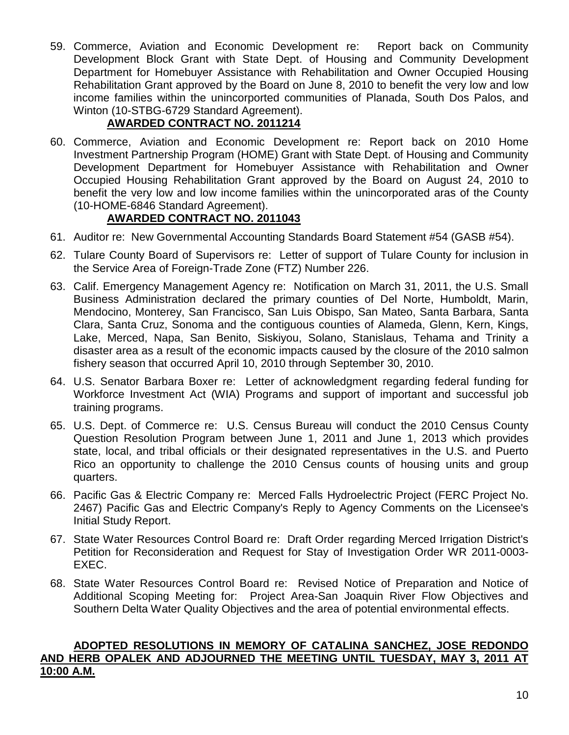59. Commerce, Aviation and Economic Development re: Report back on Community Development Block Grant with State Dept. of Housing and Community Development Department for Homebuyer Assistance with Rehabilitation and Owner Occupied Housing Rehabilitation Grant approved by the Board on June 8, 2010 to benefit the very low and low income families within the unincorported communities of Planada, South Dos Palos, and Winton (10-STBG-6729 Standard Agreement).

# **AWARDED CONTRACT NO. 2011214**

60. Commerce, Aviation and Economic Development re: Report back on 2010 Home Investment Partnership Program (HOME) Grant with State Dept. of Housing and Community Development Department for Homebuyer Assistance with Rehabilitation and Owner Occupied Housing Rehabilitation Grant approved by the Board on August 24, 2010 to benefit the very low and low income families within the unincorporated aras of the County (10-HOME-6846 Standard Agreement).

# **AWARDED CONTRACT NO. 2011043**

- 61. Auditor re: New Governmental Accounting Standards Board Statement #54 (GASB #54).
- 62. Tulare County Board of Supervisors re: Letter of support of Tulare County for inclusion in the Service Area of Foreign-Trade Zone (FTZ) Number 226.
- 63. Calif. Emergency Management Agency re: Notification on March 31, 2011, the U.S. Small Business Administration declared the primary counties of Del Norte, Humboldt, Marin, Mendocino, Monterey, San Francisco, San Luis Obispo, San Mateo, Santa Barbara, Santa Clara, Santa Cruz, Sonoma and the contiguous counties of Alameda, Glenn, Kern, Kings, Lake, Merced, Napa, San Benito, Siskiyou, Solano, Stanislaus, Tehama and Trinity a disaster area as a result of the economic impacts caused by the closure of the 2010 salmon fishery season that occurred April 10, 2010 through September 30, 2010.
- 64. U.S. Senator Barbara Boxer re: Letter of acknowledgment regarding federal funding for Workforce Investment Act (WIA) Programs and support of important and successful job training programs.
- 65. U.S. Dept. of Commerce re: U.S. Census Bureau will conduct the 2010 Census County Question Resolution Program between June 1, 2011 and June 1, 2013 which provides state, local, and tribal officials or their designated representatives in the U.S. and Puerto Rico an opportunity to challenge the 2010 Census counts of housing units and group quarters.
- 66. Pacific Gas & Electric Company re: Merced Falls Hydroelectric Project (FERC Project No. 2467) Pacific Gas and Electric Company's Reply to Agency Comments on the Licensee's Initial Study Report.
- 67. State Water Resources Control Board re: Draft Order regarding Merced Irrigation District's Petition for Reconsideration and Request for Stay of Investigation Order WR 2011-0003- EXEC.
- 68. State Water Resources Control Board re: Revised Notice of Preparation and Notice of Additional Scoping Meeting for: Project Area-San Joaquin River Flow Objectives and Southern Delta Water Quality Objectives and the area of potential environmental effects.

#### **ADOPTED RESOLUTIONS IN MEMORY OF CATALINA SANCHEZ, JOSE REDONDO AND HERB OPALEK AND ADJOURNED THE MEETING UNTIL TUESDAY, MAY 3, 2011 AT 10:00 A.M.**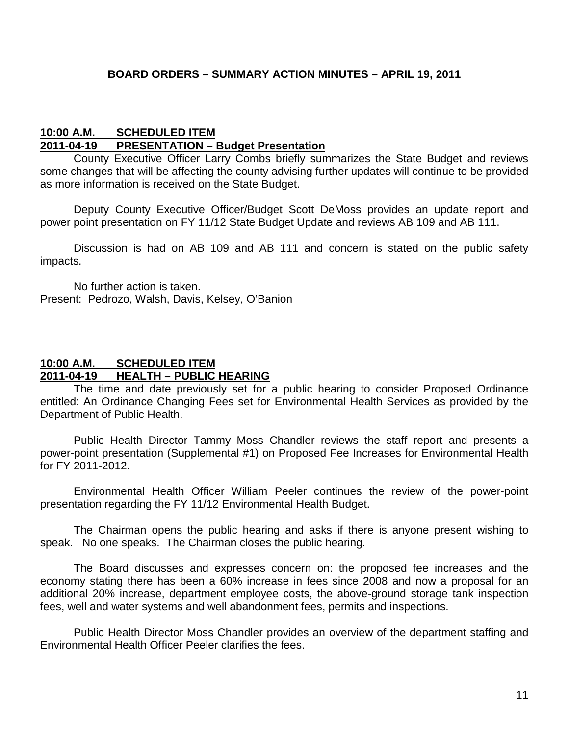#### **10:00 A.M. SCHEDULED ITEM 2011-04-19 PRESENTATION – Budget Presentation**

County Executive Officer Larry Combs briefly summarizes the State Budget and reviews some changes that will be affecting the county advising further updates will continue to be provided as more information is received on the State Budget.

Deputy County Executive Officer/Budget Scott DeMoss provides an update report and power point presentation on FY 11/12 State Budget Update and reviews AB 109 and AB 111.

Discussion is had on AB 109 and AB 111 and concern is stated on the public safety impacts.

No further action is taken. Present: Pedrozo, Walsh, Davis, Kelsey, O'Banion

## **10:00 A.M. SCHEDULED ITEM 2011-04-19 HEALTH – PUBLIC HEARING**

The time and date previously set for a public hearing to consider Proposed Ordinance entitled: An Ordinance Changing Fees set for Environmental Health Services as provided by the Department of Public Health.

Public Health Director Tammy Moss Chandler reviews the staff report and presents a power-point presentation (Supplemental #1) on Proposed Fee Increases for Environmental Health for FY 2011-2012.

Environmental Health Officer William Peeler continues the review of the power-point presentation regarding the FY 11/12 Environmental Health Budget.

The Chairman opens the public hearing and asks if there is anyone present wishing to speak. No one speaks. The Chairman closes the public hearing.

The Board discusses and expresses concern on: the proposed fee increases and the economy stating there has been a 60% increase in fees since 2008 and now a proposal for an additional 20% increase, department employee costs, the above-ground storage tank inspection fees, well and water systems and well abandonment fees, permits and inspections.

Public Health Director Moss Chandler provides an overview of the department staffing and Environmental Health Officer Peeler clarifies the fees.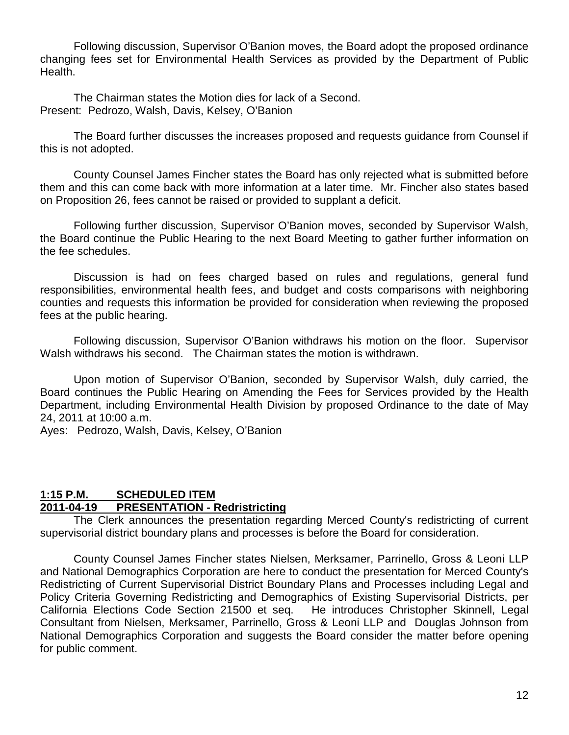Following discussion, Supervisor O'Banion moves, the Board adopt the proposed ordinance changing fees set for Environmental Health Services as provided by the Department of Public Health.

The Chairman states the Motion dies for lack of a Second. Present: Pedrozo, Walsh, Davis, Kelsey, O'Banion

The Board further discusses the increases proposed and requests guidance from Counsel if this is not adopted.

County Counsel James Fincher states the Board has only rejected what is submitted before them and this can come back with more information at a later time. Mr. Fincher also states based on Proposition 26, fees cannot be raised or provided to supplant a deficit.

Following further discussion, Supervisor O'Banion moves, seconded by Supervisor Walsh, the Board continue the Public Hearing to the next Board Meeting to gather further information on the fee schedules.

Discussion is had on fees charged based on rules and regulations, general fund responsibilities, environmental health fees, and budget and costs comparisons with neighboring counties and requests this information be provided for consideration when reviewing the proposed fees at the public hearing.

Following discussion, Supervisor O'Banion withdraws his motion on the floor. Supervisor Walsh withdraws his second. The Chairman states the motion is withdrawn.

Upon motion of Supervisor O'Banion, seconded by Supervisor Walsh, duly carried, the Board continues the Public Hearing on Amending the Fees for Services provided by the Health Department, including Environmental Health Division by proposed Ordinance to the date of May 24, 2011 at 10:00 a.m.

Ayes: Pedrozo, Walsh, Davis, Kelsey, O'Banion

#### **1:15 P.M. SCHEDULED ITEM 2011-04-19 PRESENTATION - Redristricting**

The Clerk announces the presentation regarding Merced County's redistricting of current supervisorial district boundary plans and processes is before the Board for consideration.

County Counsel James Fincher states Nielsen, Merksamer, Parrinello, Gross & Leoni LLP and National Demographics Corporation are here to conduct the presentation for Merced County's Redistricting of Current Supervisorial District Boundary Plans and Processes including Legal and Policy Criteria Governing Redistricting and Demographics of Existing Supervisorial Districts, per California Elections Code Section 21500 et seq. He introduces Christopher Skinnell, Legal Consultant from Nielsen, Merksamer, Parrinello, Gross & Leoni LLP and Douglas Johnson from National Demographics Corporation and suggests the Board consider the matter before opening for public comment.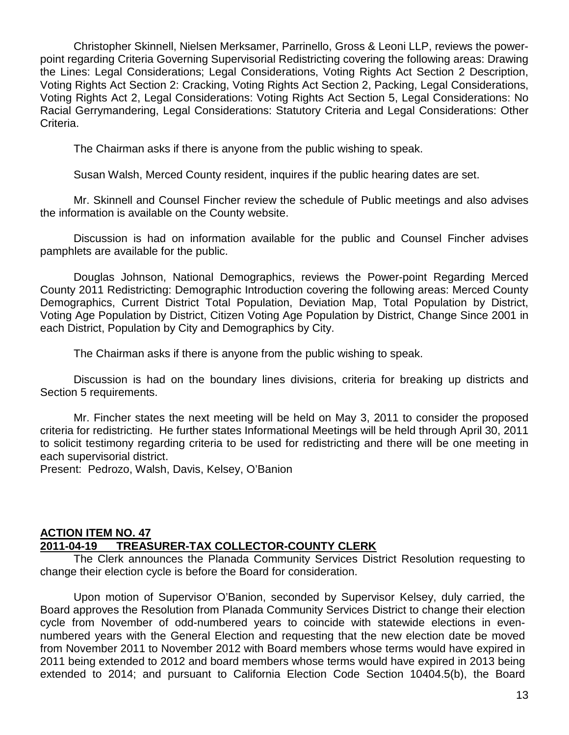Christopher Skinnell, Nielsen Merksamer, Parrinello, Gross & Leoni LLP, reviews the powerpoint regarding Criteria Governing Supervisorial Redistricting covering the following areas: Drawing the Lines: Legal Considerations; Legal Considerations, Voting Rights Act Section 2 Description, Voting Rights Act Section 2: Cracking, Voting Rights Act Section 2, Packing, Legal Considerations, Voting Rights Act 2, Legal Considerations: Voting Rights Act Section 5, Legal Considerations: No Racial Gerrymandering, Legal Considerations: Statutory Criteria and Legal Considerations: Other Criteria.

The Chairman asks if there is anyone from the public wishing to speak.

Susan Walsh, Merced County resident, inquires if the public hearing dates are set.

Mr. Skinnell and Counsel Fincher review the schedule of Public meetings and also advises the information is available on the County website.

Discussion is had on information available for the public and Counsel Fincher advises pamphlets are available for the public.

Douglas Johnson, National Demographics, reviews the Power-point Regarding Merced County 2011 Redistricting: Demographic Introduction covering the following areas: Merced County Demographics, Current District Total Population, Deviation Map, Total Population by District, Voting Age Population by District, Citizen Voting Age Population by District, Change Since 2001 in each District, Population by City and Demographics by City.

The Chairman asks if there is anyone from the public wishing to speak.

Discussion is had on the boundary lines divisions, criteria for breaking up districts and Section 5 requirements.

Mr. Fincher states the next meeting will be held on May 3, 2011 to consider the proposed criteria for redistricting. He further states Informational Meetings will be held through April 30, 2011 to solicit testimony regarding criteria to be used for redistricting and there will be one meeting in each supervisorial district.

Present: Pedrozo, Walsh, Davis, Kelsey, O'Banion

#### **ACTION ITEM NO. 47 2011-04-19 TREASURER-TAX COLLECTOR-COUNTY CLERK**

The Clerk announces the Planada Community Services District Resolution requesting to change their election cycle is before the Board for consideration.

Upon motion of Supervisor O'Banion, seconded by Supervisor Kelsey, duly carried, the Board approves the Resolution from Planada Community Services District to change their election cycle from November of odd-numbered years to coincide with statewide elections in evennumbered years with the General Election and requesting that the new election date be moved from November 2011 to November 2012 with Board members whose terms would have expired in 2011 being extended to 2012 and board members whose terms would have expired in 2013 being extended to 2014; and pursuant to California Election Code Section 10404.5(b), the Board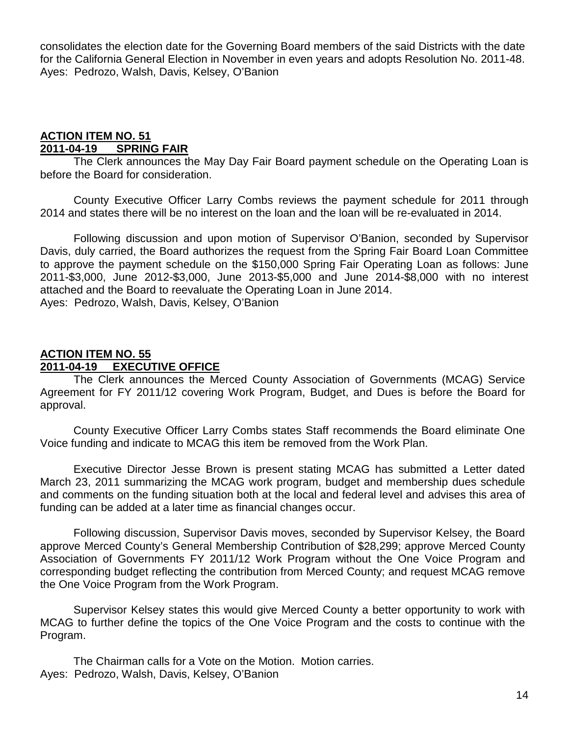consolidates the election date for the Governing Board members of the said Districts with the date for the California General Election in November in even years and adopts Resolution No. 2011-48. Ayes: Pedrozo, Walsh, Davis, Kelsey, O'Banion

#### **ACTION ITEM NO. 51 SPRING FAIR**

The Clerk announces the May Day Fair Board payment schedule on the Operating Loan is before the Board for consideration.

County Executive Officer Larry Combs reviews the payment schedule for 2011 through 2014 and states there will be no interest on the loan and the loan will be re-evaluated in 2014.

Following discussion and upon motion of Supervisor O'Banion, seconded by Supervisor Davis, duly carried, the Board authorizes the request from the Spring Fair Board Loan Committee to approve the payment schedule on the \$150,000 Spring Fair Operating Loan as follows: June 2011-\$3,000, June 2012-\$3,000, June 2013-\$5,000 and June 2014-\$8,000 with no interest attached and the Board to reevaluate the Operating Loan in June 2014. Ayes: Pedrozo, Walsh, Davis, Kelsey, O'Banion

#### **ACTION ITEM NO. 55 2011-04-19 EXECUTIVE OFFICE**

The Clerk announces the Merced County Association of Governments (MCAG) Service Agreement for FY 2011/12 covering Work Program, Budget, and Dues is before the Board for approval.

County Executive Officer Larry Combs states Staff recommends the Board eliminate One Voice funding and indicate to MCAG this item be removed from the Work Plan.

Executive Director Jesse Brown is present stating MCAG has submitted a Letter dated March 23, 2011 summarizing the MCAG work program, budget and membership dues schedule and comments on the funding situation both at the local and federal level and advises this area of funding can be added at a later time as financial changes occur.

Following discussion, Supervisor Davis moves, seconded by Supervisor Kelsey, the Board approve Merced County's General Membership Contribution of \$28,299; approve Merced County Association of Governments FY 2011/12 Work Program without the One Voice Program and corresponding budget reflecting the contribution from Merced County; and request MCAG remove the One Voice Program from the Work Program.

Supervisor Kelsey states this would give Merced County a better opportunity to work with MCAG to further define the topics of the One Voice Program and the costs to continue with the Program.

The Chairman calls for a Vote on the Motion. Motion carries. Ayes: Pedrozo, Walsh, Davis, Kelsey, O'Banion